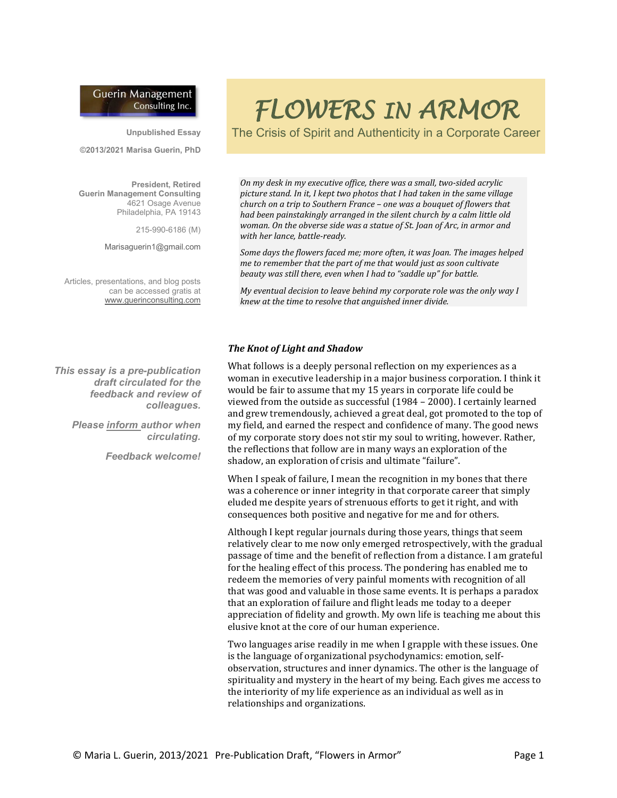# **Guerin Management** Consulting Inc.

**Unpublished Essay**

**©2013/2021 Marisa Guerin, PhD**

**President, Retired Guerin Management Consulting** 4621 Osage Avenue Philadelphia, PA 19143

215-990-6186 (M)

Marisaguerin1@gmail.com

Articles, presentations, and blog posts can be accessed gratis at [www.guerinconsulting.com](http://www.guerinconsulting.com/)

*This essay is a pre-publication draft circulated for the feedback and review of colleagues.* 

> *Please inform author when circulating.*

> > *Feedback welcome!*

# *FLOWERS IN ARMOR*

The Crisis of Spirit and Authenticity in a Corporate Career

*On my desk in my executive office, there was a small, two-sided acrylic picture stand. In it, I kept two photos that I had taken in the same village church on a trip to Southern France – one was a bouquet of flowers that had been painstakingly arranged in the silent church by a calm little old woman. On the obverse side was a statue of St. Joan of Arc, in armor and with her lance, battle-ready.* 

*Some days the flowers faced me; more often, it was Joan. The images helped me to remember that the part of me that would just as soon cultivate beauty was still there, even when I had to "saddle up" for battle.*

*My eventual decision to leave behind my corporate role was the only way I knew at the time to resolve that anguished inner divide.*

# *The Knot of Light and Shadow*

What follows is a deeply personal reflection on my experiences as a woman in executive leadership in a major business corporation. I think it would be fair to assume that my 15 years in corporate life could be viewed from the outside as successful (1984 – 2000). I certainly learned and grew tremendously, achieved a great deal, got promoted to the top of my field, and earned the respect and confidence of many. The good news of my corporate story does not stir my soul to writing, however. Rather, the reflections that follow are in many ways an exploration of the shadow, an exploration of crisis and ultimate "failure".

When I speak of failure, I mean the recognition in my bones that there was a coherence or inner integrity in that corporate career that simply eluded me despite years of strenuous efforts to get it right, and with consequences both positive and negative for me and for others.

Although I kept regular journals during those years, things that seem relatively clear to me now only emerged retrospectively, with the gradual passage of time and the benefit of reflection from a distance. I am grateful for the healing effect of this process. The pondering has enabled me to redeem the memories of very painful moments with recognition of all that was good and valuable in those same events. It is perhaps a paradox that an exploration of failure and flight leads me today to a deeper appreciation of fidelity and growth. My own life is teaching me about this elusive knot at the core of our human experience.

Two languages arise readily in me when I grapple with these issues. One is the language of organizational psychodynamics: emotion, selfobservation, structures and inner dynamics. The other is the language of spirituality and mystery in the heart of my being. Each gives me access to the interiority of my life experience as an individual as well as in relationships and organizations.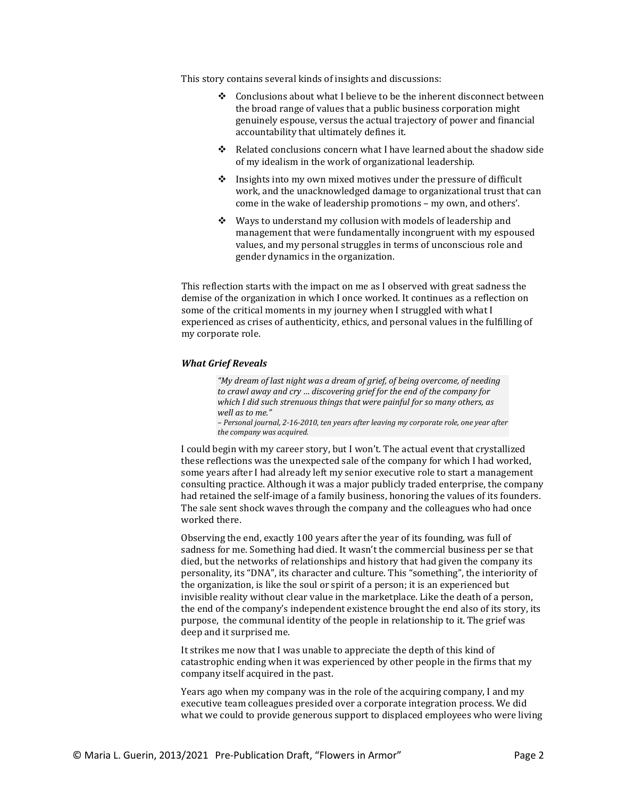This story contains several kinds of insights and discussions:

- Conclusions about what I believe to be the inherent disconnect between the broad range of values that a public business corporation might genuinely espouse, versus the actual trajectory of power and financial accountability that ultimately defines it.
- \* Related conclusions concern what I have learned about the shadow side of my idealism in the work of organizational leadership.
- $\cdot$  Insights into my own mixed motives under the pressure of difficult work, and the unacknowledged damage to organizational trust that can come in the wake of leadership promotions – my own, and others'.
- $\div$  Ways to understand my collusion with models of leadership and management that were fundamentally incongruent with my espoused values, and my personal struggles in terms of unconscious role and gender dynamics in the organization.

This reflection starts with the impact on me as I observed with great sadness the demise of the organization in which I once worked. It continues as a reflection on some of the critical moments in my journey when I struggled with what I experienced as crises of authenticity, ethics, and personal values in the fulfilling of my corporate role.

#### *What Grief Reveals*

*"My dream of last night was a dream of grief, of being overcome, of needing to crawl away and cry … discovering grief for the end of the company for which I did such strenuous things that were painful for so many others, as well as to me."* 

*– Personal journal, 2-16-2010, ten years after leaving my corporate role, one year after the company was acquired.*

I could begin with my career story, but I won't. The actual event that crystallized these reflections was the unexpected sale of the company for which I had worked, some years after I had already left my senior executive role to start a management consulting practice. Although it was a major publicly traded enterprise, the company had retained the self-image of a family business, honoring the values of its founders. The sale sent shock waves through the company and the colleagues who had once worked there.

Observing the end, exactly 100 years after the year of its founding, was full of sadness for me. Something had died. It wasn't the commercial business per se that died, but the networks of relationships and history that had given the company its personality, its "DNA", its character and culture. This "something", the interiority of the organization, is like the soul or spirit of a person; it is an experienced but invisible reality without clear value in the marketplace. Like the death of a person, the end of the company's independent existence brought the end also of its story, its purpose, the communal identity of the people in relationship to it. The grief was deep and it surprised me.

It strikes me now that I was unable to appreciate the depth of this kind of catastrophic ending when it was experienced by other people in the firms that my company itself acquired in the past.

Years ago when my company was in the role of the acquiring company, I and my executive team colleagues presided over a corporate integration process. We did what we could to provide generous support to displaced employees who were living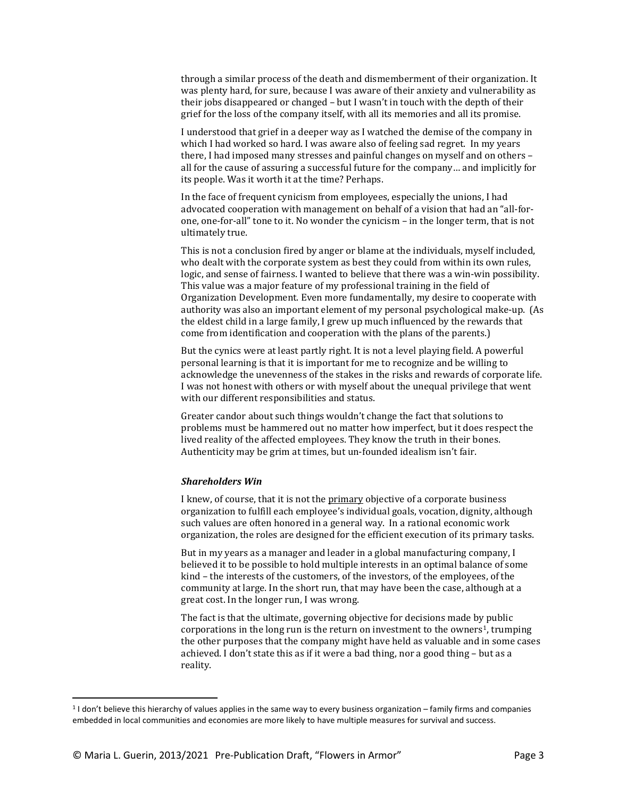through a similar process of the death and dismemberment of their organization. It was plenty hard, for sure, because I was aware of their anxiety and vulnerability as their jobs disappeared or changed – but I wasn't in touch with the depth of their grief for the loss of the company itself, with all its memories and all its promise.

I understood that grief in a deeper way as I watched the demise of the company in which I had worked so hard. I was aware also of feeling sad regret. In my years there, I had imposed many stresses and painful changes on myself and on others – all for the cause of assuring a successful future for the company… and implicitly for its people. Was it worth it at the time? Perhaps.

In the face of frequent cynicism from employees, especially the unions, I had advocated cooperation with management on behalf of a vision that had an "all-forone, one-for-all" tone to it. No wonder the cynicism – in the longer term, that is not ultimately true.

This is not a conclusion fired by anger or blame at the individuals, myself included, who dealt with the corporate system as best they could from within its own rules, logic, and sense of fairness. I wanted to believe that there was a win-win possibility. This value was a major feature of my professional training in the field of Organization Development. Even more fundamentally, my desire to cooperate with authority was also an important element of my personal psychological make-up. (As the eldest child in a large family, I grew up much influenced by the rewards that come from identification and cooperation with the plans of the parents.)

But the cynics were at least partly right. It is not a level playing field. A powerful personal learning is that it is important for me to recognize and be willing to acknowledge the unevenness of the stakes in the risks and rewards of corporate life. I was not honest with others or with myself about the unequal privilege that went with our different responsibilities and status.

Greater candor about such things wouldn't change the fact that solutions to problems must be hammered out no matter how imperfect, but it does respect the lived reality of the affected employees. They know the truth in their bones. Authenticity may be grim at times, but un-founded idealism isn't fair.

### *Shareholders Win*

I knew, of course, that it is not the **primary** objective of a corporate business organization to fulfill each employee's individual goals, vocation, dignity, although such values are often honored in a general way. In a rational economic work organization, the roles are designed for the efficient execution of its primary tasks.

But in my years as a manager and leader in a global manufacturing company, I believed it to be possible to hold multiple interests in an optimal balance of some kind – the interests of the customers, of the investors, of the employees, of the community at large. In the short run, that may have been the case, although at a great cost. In the longer run, I was wrong.

The fact is that the ultimate, governing objective for decisions made by public corporations in the long run is the return on investment to the owners<sup>[1](#page-2-0)</sup>, trumping the other purposes that the company might have held as valuable and in some cases achieved. I don't state this as if it were a bad thing, nor a good thing – but as a reality.

<span id="page-2-0"></span><sup>1</sup> I don't believe this hierarchy of values applies in the same way to every business organization – family firms and companies embedded in local communities and economies are more likely to have multiple measures for survival and success.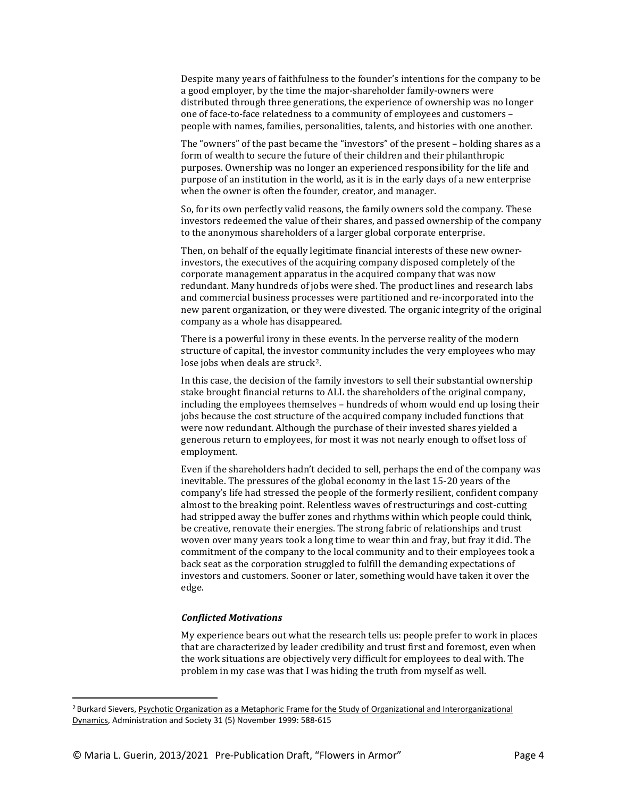Despite many years of faithfulness to the founder's intentions for the company to be a good employer, by the time the major-shareholder family-owners were distributed through three generations, the experience of ownership was no longer one of face-to-face relatedness to a community of employees and customers – people with names, families, personalities, talents, and histories with one another.

The "owners" of the past became the "investors" of the present – holding shares as a form of wealth to secure the future of their children and their philanthropic purposes. Ownership was no longer an experienced responsibility for the life and purpose of an institution in the world, as it is in the early days of a new enterprise when the owner is often the founder, creator, and manager.

So, for its own perfectly valid reasons, the family owners sold the company. These investors redeemed the value of their shares, and passed ownership of the company to the anonymous shareholders of a larger global corporate enterprise.

Then, on behalf of the equally legitimate financial interests of these new ownerinvestors, the executives of the acquiring company disposed completely of the corporate management apparatus in the acquired company that was now redundant. Many hundreds of jobs were shed. The product lines and research labs and commercial business processes were partitioned and re-incorporated into the new parent organization, or they were divested. The organic integrity of the original company as a whole has disappeared.

There is a powerful irony in these events. In the perverse reality of the modern structure of capital, the investor community includes the very employees who may lose jobs when deals are struck<sup>[2](#page-3-0)</sup>.

In this case, the decision of the family investors to sell their substantial ownership stake brought financial returns to ALL the shareholders of the original company, including the employees themselves – hundreds of whom would end up losing their jobs because the cost structure of the acquired company included functions that were now redundant. Although the purchase of their invested shares yielded a generous return to employees, for most it was not nearly enough to offset loss of employment.

Even if the shareholders hadn't decided to sell, perhaps the end of the company was inevitable. The pressures of the global economy in the last 15-20 years of the company's life had stressed the people of the formerly resilient, confident company almost to the breaking point. Relentless waves of restructurings and cost-cutting had stripped away the buffer zones and rhythms within which people could think, be creative, renovate their energies. The strong fabric of relationships and trust woven over many years took a long time to wear thin and fray, but fray it did. The commitment of the company to the local community and to their employees took a back seat as the corporation struggled to fulfill the demanding expectations of investors and customers. Sooner or later, something would have taken it over the edge.

# *Conflicted Motivations*

My experience bears out what the research tells us: people prefer to work in places that are characterized by leader credibility and trust first and foremost, even when the work situations are objectively very difficult for employees to deal with. The problem in my case was that I was hiding the truth from myself as well.

<span id="page-3-0"></span><sup>&</sup>lt;sup>2</sup> Burkard Sievers, Psychotic Organization as a Metaphoric Frame for the Study of Organizational and Interorganizational Dynamics, Administration and Society 31 (5) November 1999: 588-615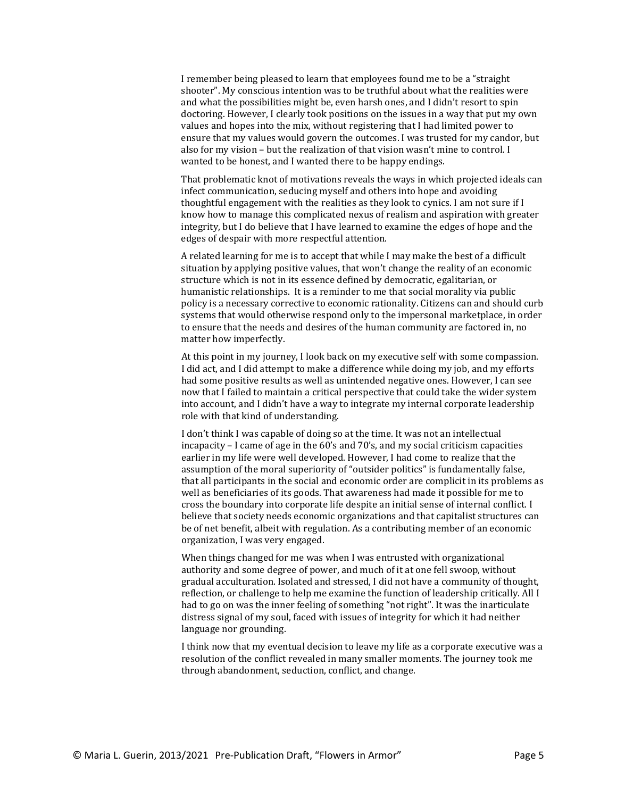I remember being pleased to learn that employees found me to be a "straight shooter". My conscious intention was to be truthful about what the realities were and what the possibilities might be, even harsh ones, and I didn't resort to spin doctoring. However, I clearly took positions on the issues in a way that put my own values and hopes into the mix, without registering that I had limited power to ensure that my values would govern the outcomes. I was trusted for my candor, but also for my vision – but the realization of that vision wasn't mine to control. I wanted to be honest, and I wanted there to be happy endings.

That problematic knot of motivations reveals the ways in which projected ideals can infect communication, seducing myself and others into hope and avoiding thoughtful engagement with the realities as they look to cynics. I am not sure if I know how to manage this complicated nexus of realism and aspiration with greater integrity, but I do believe that I have learned to examine the edges of hope and the edges of despair with more respectful attention.

A related learning for me is to accept that while I may make the best of a difficult situation by applying positive values, that won't change the reality of an economic structure which is not in its essence defined by democratic, egalitarian, or humanistic relationships. It is a reminder to me that social morality via public policy is a necessary corrective to economic rationality. Citizens can and should curb systems that would otherwise respond only to the impersonal marketplace, in order to ensure that the needs and desires of the human community are factored in, no matter how imperfectly.

At this point in my journey, I look back on my executive self with some compassion. I did act, and I did attempt to make a difference while doing my job, and my efforts had some positive results as well as unintended negative ones. However, I can see now that I failed to maintain a critical perspective that could take the wider system into account, and I didn't have a way to integrate my internal corporate leadership role with that kind of understanding.

I don't think I was capable of doing so at the time. It was not an intellectual incapacity – I came of age in the 60's and 70's, and my social criticism capacities earlier in my life were well developed. However, I had come to realize that the assumption of the moral superiority of "outsider politics" is fundamentally false, that all participants in the social and economic order are complicit in its problems as well as beneficiaries of its goods. That awareness had made it possible for me to cross the boundary into corporate life despite an initial sense of internal conflict. I believe that society needs economic organizations and that capitalist structures can be of net benefit, albeit with regulation. As a contributing member of an economic organization, I was very engaged.

When things changed for me was when I was entrusted with organizational authority and some degree of power, and much of it at one fell swoop, without gradual acculturation. Isolated and stressed, I did not have a community of thought, reflection, or challenge to help me examine the function of leadership critically. All I had to go on was the inner feeling of something "not right". It was the inarticulate distress signal of my soul, faced with issues of integrity for which it had neither language nor grounding.

I think now that my eventual decision to leave my life as a corporate executive was a resolution of the conflict revealed in many smaller moments. The journey took me through abandonment, seduction, conflict, and change.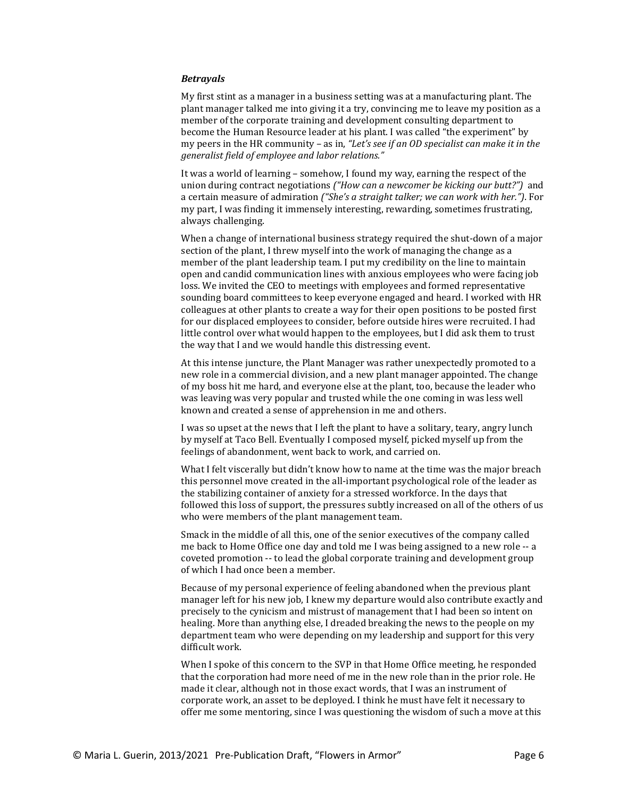## *Betrayals*

My first stint as a manager in a business setting was at a manufacturing plant. The plant manager talked me into giving it a try, convincing me to leave my position as a member of the corporate training and development consulting department to become the Human Resource leader at his plant. I was called "the experiment" by my peers in the HR community – as in, *"Let's see if an OD specialist can make it in the generalist field of employee and labor relations."*

It was a world of learning – somehow, I found my way, earning the respect of the union during contract negotiations *("How can a newcomer be kicking our butt?")* and a certain measure of admiration *("She's a straight talker; we can work with her.")*. For my part, I was finding it immensely interesting, rewarding, sometimes frustrating, always challenging.

When a change of international business strategy required the shut-down of a major section of the plant, I threw myself into the work of managing the change as a member of the plant leadership team. I put my credibility on the line to maintain open and candid communication lines with anxious employees who were facing job loss. We invited the CEO to meetings with employees and formed representative sounding board committees to keep everyone engaged and heard. I worked with HR colleagues at other plants to create a way for their open positions to be posted first for our displaced employees to consider, before outside hires were recruited. I had little control over what would happen to the employees, but I did ask them to trust the way that I and we would handle this distressing event.

At this intense juncture, the Plant Manager was rather unexpectedly promoted to a new role in a commercial division, and a new plant manager appointed. The change of my boss hit me hard, and everyone else at the plant, too, because the leader who was leaving was very popular and trusted while the one coming in was less well known and created a sense of apprehension in me and others.

I was so upset at the news that I left the plant to have a solitary, teary, angry lunch by myself at Taco Bell. Eventually I composed myself, picked myself up from the feelings of abandonment, went back to work, and carried on.

What I felt viscerally but didn't know how to name at the time was the major breach this personnel move created in the all-important psychological role of the leader as the stabilizing container of anxiety for a stressed workforce. In the days that followed this loss of support, the pressures subtly increased on all of the others of us who were members of the plant management team.

Smack in the middle of all this, one of the senior executives of the company called me back to Home Office one day and told me I was being assigned to a new role -- a coveted promotion -- to lead the global corporate training and development group of which I had once been a member.

Because of my personal experience of feeling abandoned when the previous plant manager left for his new job, I knew my departure would also contribute exactly and precisely to the cynicism and mistrust of management that I had been so intent on healing. More than anything else, I dreaded breaking the news to the people on my department team who were depending on my leadership and support for this very difficult work.

When I spoke of this concern to the SVP in that Home Office meeting, he responded that the corporation had more need of me in the new role than in the prior role. He made it clear, although not in those exact words, that I was an instrument of corporate work, an asset to be deployed. I think he must have felt it necessary to offer me some mentoring, since I was questioning the wisdom of such a move at this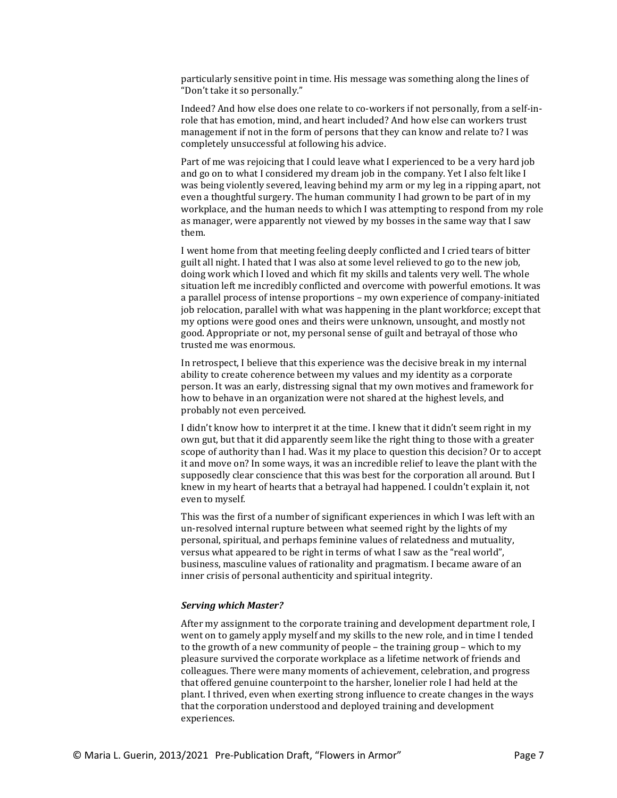particularly sensitive point in time. His message was something along the lines of "Don't take it so personally."

Indeed? And how else does one relate to co-workers if not personally, from a self-inrole that has emotion, mind, and heart included? And how else can workers trust management if not in the form of persons that they can know and relate to? I was completely unsuccessful at following his advice.

Part of me was rejoicing that I could leave what I experienced to be a very hard job and go on to what I considered my dream job in the company. Yet I also felt like I was being violently severed, leaving behind my arm or my leg in a ripping apart, not even a thoughtful surgery. The human community I had grown to be part of in my workplace, and the human needs to which I was attempting to respond from my role as manager, were apparently not viewed by my bosses in the same way that I saw them.

I went home from that meeting feeling deeply conflicted and I cried tears of bitter guilt all night. I hated that I was also at some level relieved to go to the new job, doing work which I loved and which fit my skills and talents very well. The whole situation left me incredibly conflicted and overcome with powerful emotions. It was a parallel process of intense proportions – my own experience of company-initiated job relocation, parallel with what was happening in the plant workforce; except that my options were good ones and theirs were unknown, unsought, and mostly not good. Appropriate or not, my personal sense of guilt and betrayal of those who trusted me was enormous.

In retrospect, I believe that this experience was the decisive break in my internal ability to create coherence between my values and my identity as a corporate person. It was an early, distressing signal that my own motives and framework for how to behave in an organization were not shared at the highest levels, and probably not even perceived.

I didn't know how to interpret it at the time. I knew that it didn't seem right in my own gut, but that it did apparently seem like the right thing to those with a greater scope of authority than I had. Was it my place to question this decision? Or to accept it and move on? In some ways, it was an incredible relief to leave the plant with the supposedly clear conscience that this was best for the corporation all around. But I knew in my heart of hearts that a betrayal had happened. I couldn't explain it, not even to myself.

This was the first of a number of significant experiences in which I was left with an un-resolved internal rupture between what seemed right by the lights of my personal, spiritual, and perhaps feminine values of relatedness and mutuality, versus what appeared to be right in terms of what I saw as the "real world", business, masculine values of rationality and pragmatism. I became aware of an inner crisis of personal authenticity and spiritual integrity.

#### *Serving which Master?*

After my assignment to the corporate training and development department role, I went on to gamely apply myself and my skills to the new role, and in time I tended to the growth of a new community of people – the training group – which to my pleasure survived the corporate workplace as a lifetime network of friends and colleagues. There were many moments of achievement, celebration, and progress that offered genuine counterpoint to the harsher, lonelier role I had held at the plant. I thrived, even when exerting strong influence to create changes in the ways that the corporation understood and deployed training and development experiences.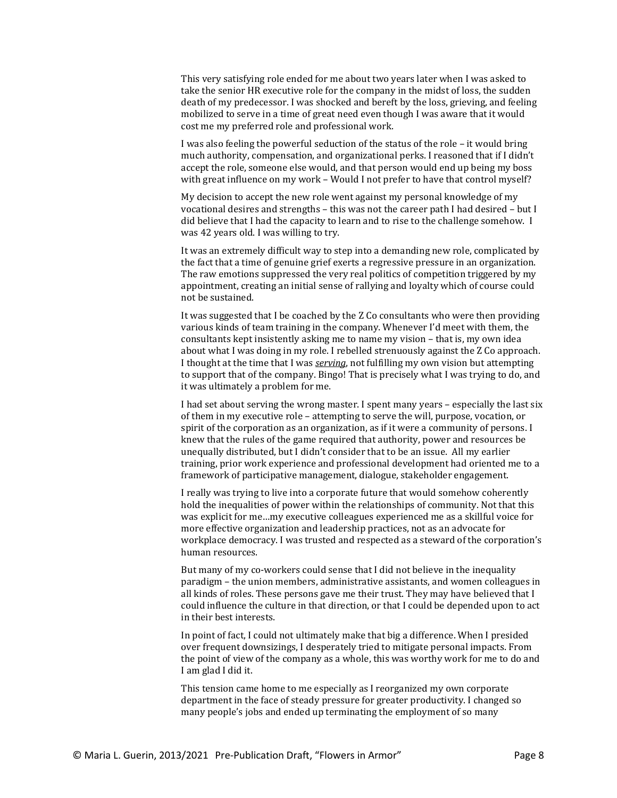This very satisfying role ended for me about two years later when I was asked to take the senior HR executive role for the company in the midst of loss, the sudden death of my predecessor. I was shocked and bereft by the loss, grieving, and feeling mobilized to serve in a time of great need even though I was aware that it would cost me my preferred role and professional work.

I was also feeling the powerful seduction of the status of the role – it would bring much authority, compensation, and organizational perks. I reasoned that if I didn't accept the role, someone else would, and that person would end up being my boss with great influence on my work – Would I not prefer to have that control myself?

My decision to accept the new role went against my personal knowledge of my vocational desires and strengths – this was not the career path I had desired – but I did believe that I had the capacity to learn and to rise to the challenge somehow. I was 42 years old. I was willing to try.

It was an extremely difficult way to step into a demanding new role, complicated by the fact that a time of genuine grief exerts a regressive pressure in an organization. The raw emotions suppressed the very real politics of competition triggered by my appointment, creating an initial sense of rallying and loyalty which of course could not be sustained.

It was suggested that I be coached by the Z Co consultants who were then providing various kinds of team training in the company. Whenever I'd meet with them, the consultants kept insistently asking me to name my vision – that is, my own idea about what I was doing in my role. I rebelled strenuously against the Z Co approach. I thought at the time that I was *serving*, not fulfilling my own vision but attempting to support that of the company. Bingo! That is precisely what I was trying to do, and it was ultimately a problem for me.

I had set about serving the wrong master. I spent many years – especially the last six of them in my executive role – attempting to serve the will, purpose, vocation, or spirit of the corporation as an organization, as if it were a community of persons. I knew that the rules of the game required that authority, power and resources be unequally distributed, but I didn't consider that to be an issue. All my earlier training, prior work experience and professional development had oriented me to a framework of participative management, dialogue, stakeholder engagement.

I really was trying to live into a corporate future that would somehow coherently hold the inequalities of power within the relationships of community. Not that this was explicit for me…my executive colleagues experienced me as a skillful voice for more effective organization and leadership practices, not as an advocate for workplace democracy. I was trusted and respected as a steward of the corporation's human resources.

But many of my co-workers could sense that I did not believe in the inequality paradigm – the union members, administrative assistants, and women colleagues in all kinds of roles. These persons gave me their trust. They may have believed that I could influence the culture in that direction, or that I could be depended upon to act in their best interests.

In point of fact, I could not ultimately make that big a difference. When I presided over frequent downsizings, I desperately tried to mitigate personal impacts. From the point of view of the company as a whole, this was worthy work for me to do and I am glad I did it.

This tension came home to me especially as I reorganized my own corporate department in the face of steady pressure for greater productivity. I changed so many people's jobs and ended up terminating the employment of so many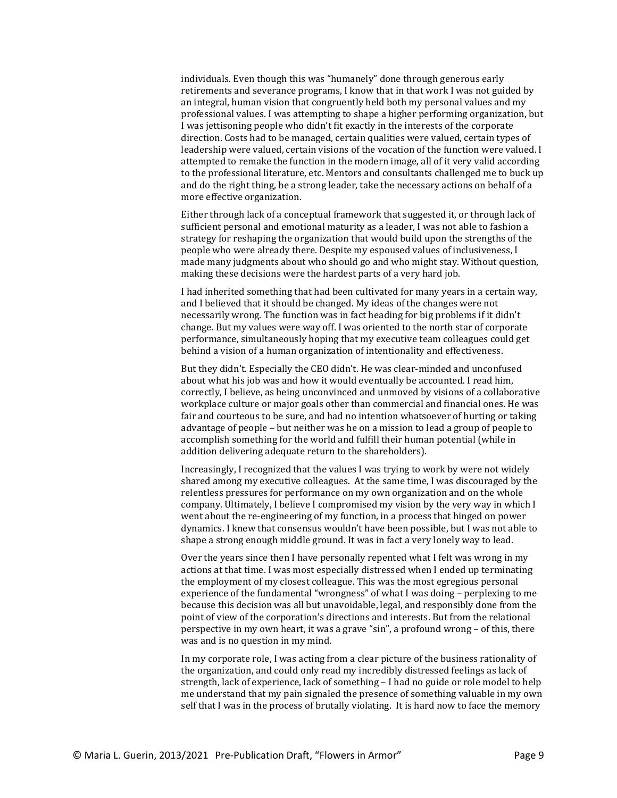individuals. Even though this was "humanely" done through generous early retirements and severance programs, I know that in that work I was not guided by an integral, human vision that congruently held both my personal values and my professional values. I was attempting to shape a higher performing organization, but I was jettisoning people who didn't fit exactly in the interests of the corporate direction. Costs had to be managed, certain qualities were valued, certain types of leadership were valued, certain visions of the vocation of the function were valued. I attempted to remake the function in the modern image, all of it very valid according to the professional literature, etc. Mentors and consultants challenged me to buck up and do the right thing, be a strong leader, take the necessary actions on behalf of a more effective organization.

Either through lack of a conceptual framework that suggested it, or through lack of sufficient personal and emotional maturity as a leader, I was not able to fashion a strategy for reshaping the organization that would build upon the strengths of the people who were already there. Despite my espoused values of inclusiveness, I made many judgments about who should go and who might stay. Without question, making these decisions were the hardest parts of a very hard job.

I had inherited something that had been cultivated for many years in a certain way, and I believed that it should be changed. My ideas of the changes were not necessarily wrong. The function was in fact heading for big problems if it didn't change. But my values were way off. I was oriented to the north star of corporate performance, simultaneously hoping that my executive team colleagues could get behind a vision of a human organization of intentionality and effectiveness.

But they didn't. Especially the CEO didn't. He was clear-minded and unconfused about what his job was and how it would eventually be accounted. I read him, correctly, I believe, as being unconvinced and unmoved by visions of a collaborative workplace culture or major goals other than commercial and financial ones. He was fair and courteous to be sure, and had no intention whatsoever of hurting or taking advantage of people – but neither was he on a mission to lead a group of people to accomplish something for the world and fulfill their human potential (while in addition delivering adequate return to the shareholders).

Increasingly, I recognized that the values I was trying to work by were not widely shared among my executive colleagues. At the same time, I was discouraged by the relentless pressures for performance on my own organization and on the whole company. Ultimately, I believe I compromised my vision by the very way in which I went about the re-engineering of my function, in a process that hinged on power dynamics. I knew that consensus wouldn't have been possible, but I was not able to shape a strong enough middle ground. It was in fact a very lonely way to lead.

Over the years since then I have personally repented what I felt was wrong in my actions at that time. I was most especially distressed when I ended up terminating the employment of my closest colleague. This was the most egregious personal experience of the fundamental "wrongness" of what I was doing – perplexing to me because this decision was all but unavoidable, legal, and responsibly done from the point of view of the corporation's directions and interests. But from the relational perspective in my own heart, it was a grave "sin", a profound wrong – of this, there was and is no question in my mind.

In my corporate role, I was acting from a clear picture of the business rationality of the organization, and could only read my incredibly distressed feelings as lack of strength, lack of experience, lack of something – I had no guide or role model to help me understand that my pain signaled the presence of something valuable in my own self that I was in the process of brutally violating. It is hard now to face the memory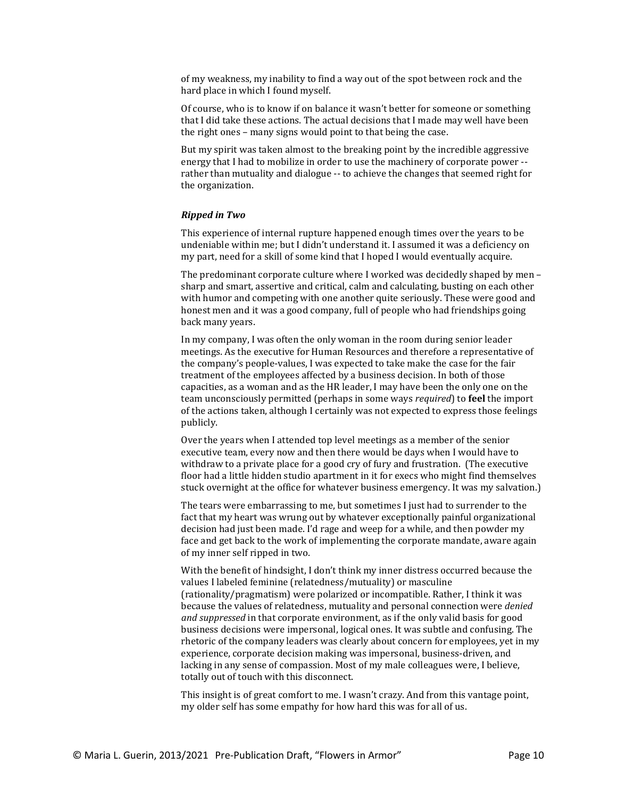of my weakness, my inability to find a way out of the spot between rock and the hard place in which I found myself.

Of course, who is to know if on balance it wasn't better for someone or something that I did take these actions. The actual decisions that I made may well have been the right ones – many signs would point to that being the case.

But my spirit was taken almost to the breaking point by the incredible aggressive energy that I had to mobilize in order to use the machinery of corporate power - rather than mutuality and dialogue -- to achieve the changes that seemed right for the organization.

### *Ripped in Two*

This experience of internal rupture happened enough times over the years to be undeniable within me; but I didn't understand it. I assumed it was a deficiency on my part, need for a skill of some kind that I hoped I would eventually acquire.

The predominant corporate culture where I worked was decidedly shaped by men – sharp and smart, assertive and critical, calm and calculating, busting on each other with humor and competing with one another quite seriously. These were good and honest men and it was a good company, full of people who had friendships going back many years.

In my company, I was often the only woman in the room during senior leader meetings. As the executive for Human Resources and therefore a representative of the company's people-values, I was expected to take make the case for the fair treatment of the employees affected by a business decision. In both of those capacities, as a woman and as the HR leader, I may have been the only one on the team unconsciously permitted (perhaps in some ways *required*) to **feel** the import of the actions taken, although I certainly was not expected to express those feelings publicly.

Over the years when I attended top level meetings as a member of the senior executive team, every now and then there would be days when I would have to withdraw to a private place for a good cry of fury and frustration. (The executive floor had a little hidden studio apartment in it for execs who might find themselves stuck overnight at the office for whatever business emergency. It was my salvation.)

The tears were embarrassing to me, but sometimes I just had to surrender to the fact that my heart was wrung out by whatever exceptionally painful organizational decision had just been made. I'd rage and weep for a while, and then powder my face and get back to the work of implementing the corporate mandate, aware again of my inner self ripped in two.

With the benefit of hindsight, I don't think my inner distress occurred because the values I labeled feminine (relatedness/mutuality) or masculine (rationality/pragmatism) were polarized or incompatible. Rather, I think it was because the values of relatedness, mutuality and personal connection were *denied and suppressed* in that corporate environment, as if the only valid basis for good business decisions were impersonal, logical ones. It was subtle and confusing. The rhetoric of the company leaders was clearly about concern for employees, yet in my experience, corporate decision making was impersonal, business-driven, and lacking in any sense of compassion. Most of my male colleagues were, I believe, totally out of touch with this disconnect.

This insight is of great comfort to me. I wasn't crazy. And from this vantage point, my older self has some empathy for how hard this was for all of us.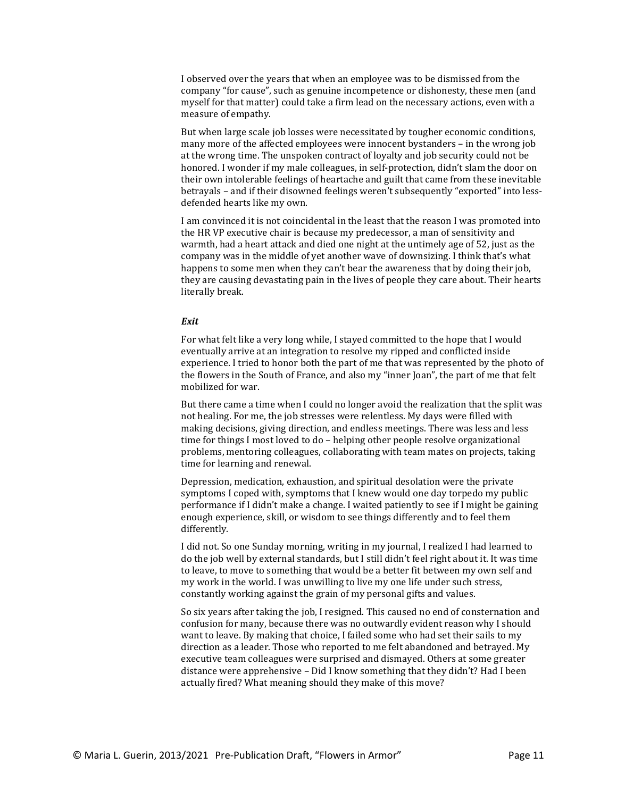I observed over the years that when an employee was to be dismissed from the company "for cause", such as genuine incompetence or dishonesty, these men (and myself for that matter) could take a firm lead on the necessary actions, even with a measure of empathy.

But when large scale job losses were necessitated by tougher economic conditions, many more of the affected employees were innocent bystanders – in the wrong job at the wrong time. The unspoken contract of loyalty and job security could not be honored. I wonder if my male colleagues, in self-protection, didn't slam the door on their own intolerable feelings of heartache and guilt that came from these inevitable betrayals – and if their disowned feelings weren't subsequently "exported" into lessdefended hearts like my own.

I am convinced it is not coincidental in the least that the reason I was promoted into the HR VP executive chair is because my predecessor, a man of sensitivity and warmth, had a heart attack and died one night at the untimely age of 52, just as the company was in the middle of yet another wave of downsizing. I think that's what happens to some men when they can't bear the awareness that by doing their job, they are causing devastating pain in the lives of people they care about. Their hearts literally break.

# *Exit*

For what felt like a very long while, I stayed committed to the hope that I would eventually arrive at an integration to resolve my ripped and conflicted inside experience. I tried to honor both the part of me that was represented by the photo of the flowers in the South of France, and also my "inner Joan", the part of me that felt mobilized for war.

But there came a time when I could no longer avoid the realization that the split was not healing. For me, the job stresses were relentless. My days were filled with making decisions, giving direction, and endless meetings. There was less and less time for things I most loved to do – helping other people resolve organizational problems, mentoring colleagues, collaborating with team mates on projects, taking time for learning and renewal.

Depression, medication, exhaustion, and spiritual desolation were the private symptoms I coped with, symptoms that I knew would one day torpedo my public performance if I didn't make a change. I waited patiently to see if I might be gaining enough experience, skill, or wisdom to see things differently and to feel them differently.

I did not. So one Sunday morning, writing in my journal, I realized I had learned to do the job well by external standards, but I still didn't feel right about it. It was time to leave, to move to something that would be a better fit between my own self and my work in the world. I was unwilling to live my one life under such stress, constantly working against the grain of my personal gifts and values.

So six years after taking the job, I resigned. This caused no end of consternation and confusion for many, because there was no outwardly evident reason why I should want to leave. By making that choice, I failed some who had set their sails to my direction as a leader. Those who reported to me felt abandoned and betrayed. My executive team colleagues were surprised and dismayed. Others at some greater distance were apprehensive – Did I know something that they didn't? Had I been actually fired? What meaning should they make of this move?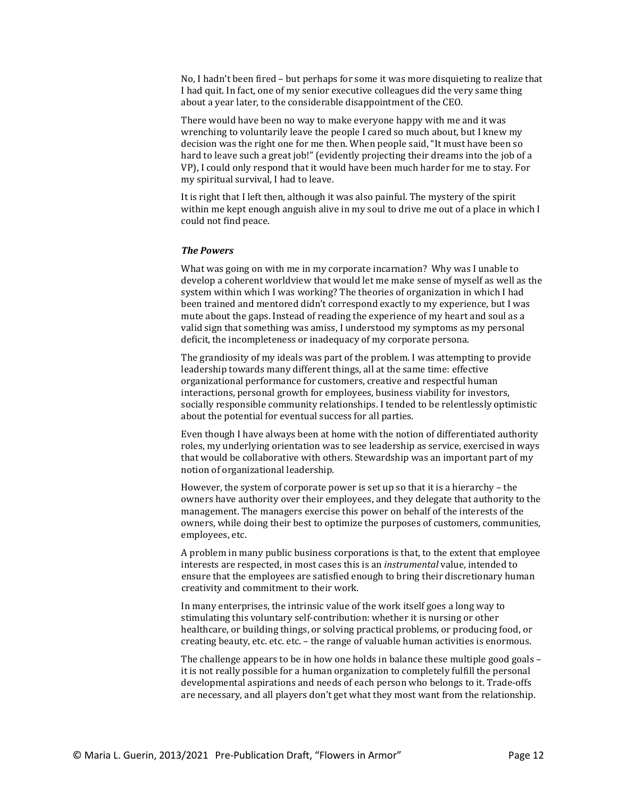No, I hadn't been fired – but perhaps for some it was more disquieting to realize that I had quit. In fact, one of my senior executive colleagues did the very same thing about a year later, to the considerable disappointment of the CEO.

There would have been no way to make everyone happy with me and it was wrenching to voluntarily leave the people I cared so much about, but I knew my decision was the right one for me then. When people said, "It must have been so hard to leave such a great job!" (evidently projecting their dreams into the job of a VP), I could only respond that it would have been much harder for me to stay. For my spiritual survival, I had to leave.

It is right that I left then, although it was also painful. The mystery of the spirit within me kept enough anguish alive in my soul to drive me out of a place in which I could not find peace.

#### *The Powers*

What was going on with me in my corporate incarnation? Why was I unable to develop a coherent worldview that would let me make sense of myself as well as the system within which I was working? The theories of organization in which I had been trained and mentored didn't correspond exactly to my experience, but I was mute about the gaps. Instead of reading the experience of my heart and soul as a valid sign that something was amiss, I understood my symptoms as my personal deficit, the incompleteness or inadequacy of my corporate persona.

The grandiosity of my ideals was part of the problem. I was attempting to provide leadership towards many different things, all at the same time: effective organizational performance for customers, creative and respectful human interactions, personal growth for employees, business viability for investors, socially responsible community relationships. I tended to be relentlessly optimistic about the potential for eventual success for all parties.

Even though I have always been at home with the notion of differentiated authority roles, my underlying orientation was to see leadership as service, exercised in ways that would be collaborative with others. Stewardship was an important part of my notion of organizational leadership.

However, the system of corporate power is set up so that it is a hierarchy – the owners have authority over their employees, and they delegate that authority to the management. The managers exercise this power on behalf of the interests of the owners, while doing their best to optimize the purposes of customers, communities, employees, etc.

A problem in many public business corporations is that, to the extent that employee interests are respected, in most cases this is an *instrumental* value, intended to ensure that the employees are satisfied enough to bring their discretionary human creativity and commitment to their work.

In many enterprises, the intrinsic value of the work itself goes a long way to stimulating this voluntary self-contribution: whether it is nursing or other healthcare, or building things, or solving practical problems, or producing food, or creating beauty, etc. etc. etc. – the range of valuable human activities is enormous.

The challenge appears to be in how one holds in balance these multiple good goals – it is not really possible for a human organization to completely fulfill the personal developmental aspirations and needs of each person who belongs to it. Trade-offs are necessary, and all players don't get what they most want from the relationship.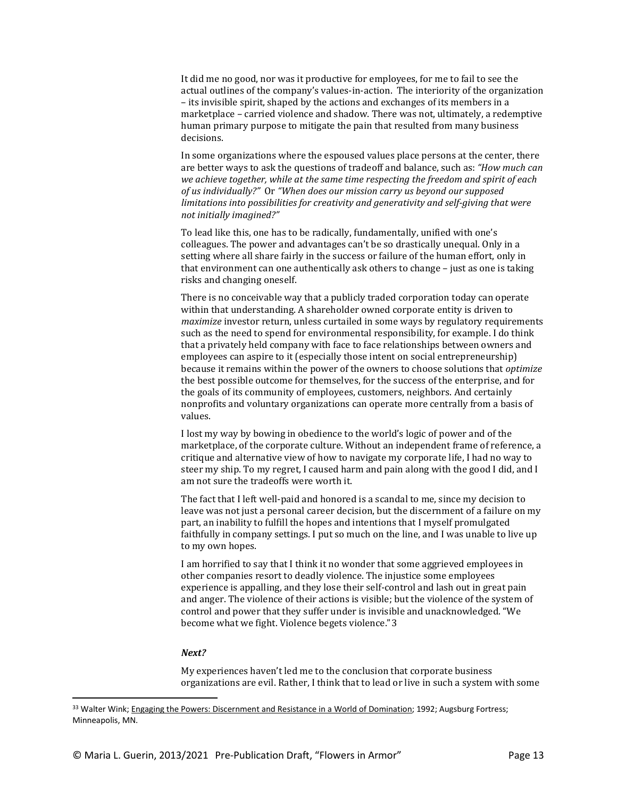It did me no good, nor was it productive for employees, for me to fail to see the actual outlines of the company's values-in-action. The interiority of the organization – its invisible spirit, shaped by the actions and exchanges of its members in a marketplace – carried violence and shadow. There was not, ultimately, a redemptive human primary purpose to mitigate the pain that resulted from many business decisions.

In some organizations where the espoused values place persons at the center, there are better ways to ask the questions of tradeoff and balance, such as: *"How much can we achieve together, while at the same time respecting the freedom and spirit of each of us individually?"* Or *"When does our mission carry us beyond our supposed limitations into possibilities for creativity and generativity and self-giving that were not initially imagined?"*

To lead like this, one has to be radically, fundamentally, unified with one's colleagues. The power and advantages can't be so drastically unequal. Only in a setting where all share fairly in the success or failure of the human effort, only in that environment can one authentically ask others to change – just as one is taking risks and changing oneself.

There is no conceivable way that a publicly traded corporation today can operate within that understanding. A shareholder owned corporate entity is driven to *maximize* investor return, unless curtailed in some ways by regulatory requirements such as the need to spend for environmental responsibility, for example. I do think that a privately held company with face to face relationships between owners and employees can aspire to it (especially those intent on social entrepreneurship) because it remains within the power of the owners to choose solutions that *optimize* the best possible outcome for themselves, for the success of the enterprise, and for the goals of its community of employees, customers, neighbors. And certainly nonprofits and voluntary organizations can operate more centrally from a basis of values.

I lost my way by bowing in obedience to the world's logic of power and of the marketplace, of the corporate culture. Without an independent frame of reference, a critique and alternative view of how to navigate my corporate life, I had no way to steer my ship. To my regret, I caused harm and pain along with the good I did, and I am not sure the tradeoffs were worth it.

The fact that I left well-paid and honored is a scandal to me, since my decision to leave was not just a personal career decision, but the discernment of a failure on my part, an inability to fulfill the hopes and intentions that I myself promulgated faithfully in company settings. I put so much on the line, and I was unable to live up to my own hopes.

I am horrified to say that I think it no wonder that some aggrieved employees in other companies resort to deadly violence. The injustice some employees experience is appalling, and they lose their self-control and lash out in great pain and anger. The violence of their actions is visible; but the violence of the system of control and power that they suffer under is invisible and unacknowledged. "We become what we fight. Violence begets violence."[3](#page-12-0)

#### *Next?*

My experiences haven't led me to the conclusion that corporate business organizations are evil. Rather, I think that to lead or live in such a system with some

<span id="page-12-0"></span><sup>&</sup>lt;sup>33</sup> Walter Wink; Engaging the Powers: Discernment and Resistance in a World of Domination; 1992; Augsburg Fortress; Minneapolis, MN.